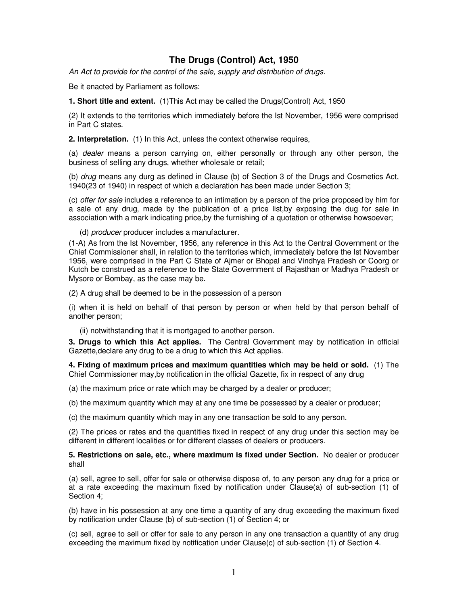## **The Drugs (Control) Act, 1950**

An Act to provide for the control of the sale, supply and distribution of drugs.

Be it enacted by Parliament as follows:

**1. Short title and extent.** (1)This Act may be called the Drugs(Control) Act, 1950

(2) It extends to the territories which immediately before the Ist November, 1956 were comprised in Part C states.

**2. Interpretation.** (1) In this Act, unless the context otherwise requires,

(a) dealer means a person carrying on, either personally or through any other person, the business of selling any drugs, whether wholesale or retail;

(b) drug means any durg as defined in Clause (b) of Section 3 of the Drugs and Cosmetics Act, 1940(23 of 1940) in respect of which a declaration has been made under Section 3;

(c) offer for sale includes a reference to an intimation by a person of the price proposed by him for a sale of any drug, made by the publication of a price list,by exposing the dug for sale in association with a mark indicating price,by the furnishing of a quotation or otherwise howsoever;

(d) producer producer includes a manufacturer.

(1-A) As from the Ist November, 1956, any reference in this Act to the Central Government or the Chief Commissioner shall, in relation to the territories which, immediately before the Ist November 1956, were comprised in the Part C State of Ajmer or Bhopal and Vindhya Pradesh or Coorg or Kutch be construed as a reference to the State Government of Rajasthan or Madhya Pradesh or Mysore or Bombay, as the case may be.

(2) A drug shall be deemed to be in the possession of a person

(i) when it is held on behalf of that person by person or when held by that person behalf of another person;

(ii) notwithstanding that it is mortgaged to another person.

**3. Drugs to which this Act applies.** The Central Government may by notification in official Gazette,declare any drug to be a drug to which this Act applies.

**4. Fixing of maximum prices and maximum quantities which may be held or sold.** (1) The Chief Commissioner may,by notification in the official Gazette, fix in respect of any drug

(a) the maximum price or rate which may be charged by a dealer or producer;

(b) the maximum quantity which may at any one time be possessed by a dealer or producer;

(c) the maximum quantity which may in any one transaction be sold to any person.

(2) The prices or rates and the quantities fixed in respect of any drug under this section may be different in different localities or for different classes of dealers or producers.

**5. Restrictions on sale, etc., where maximum is fixed under Section.** No dealer or producer shall

(a) sell, agree to sell, offer for sale or otherwise dispose of, to any person any drug for a price or at a rate exceeding the maximum fixed by notification under Clause(a) of sub-section (1) of Section 4;

(b) have in his possession at any one time a quantity of any drug exceeding the maximum fixed by notification under Clause (b) of sub-section (1) of Section 4; or

(c) sell, agree to sell or offer for sale to any person in any one transaction a quantity of any drug exceeding the maximum fixed by notification under Clause(c) of sub-section (1) of Section 4.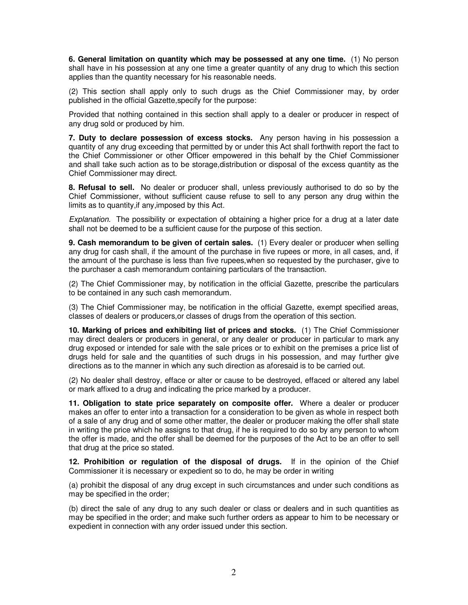**6. General limitation on quantity which may be possessed at any one time.** (1) No person shall have in his possession at any one time a greater quantity of any drug to which this section applies than the quantity necessary for his reasonable needs.

(2) This section shall apply only to such drugs as the Chief Commissioner may, by order published in the official Gazette,specify for the purpose:

Provided that nothing contained in this section shall apply to a dealer or producer in respect of any drug sold or produced by him.

**7. Duty to declare possession of excess stocks.** Any person having in his possession a quantity of any drug exceeding that permitted by or under this Act shall forthwith report the fact to the Chief Commissioner or other Officer empowered in this behalf by the Chief Commissioner and shall take such action as to be storage,distribution or disposal of the excess quantity as the Chief Commissioner may direct.

**8. Refusal to sell.** No dealer or producer shall, unless previously authorised to do so by the Chief Commissioner, without sufficient cause refuse to sell to any person any drug within the limits as to quantity,if any,imposed by this Act.

Explanation. The possibility or expectation of obtaining a higher price for a drug at a later date shall not be deemed to be a sufficient cause for the purpose of this section.

**9. Cash memorandum to be given of certain sales.** (1) Every dealer or producer when selling any drug for cash shall, if the amount of the purchase in five rupees or more, in all cases, and, if the amount of the purchase is less than five rupees,when so requested by the purchaser, give to the purchaser a cash memorandum containing particulars of the transaction.

(2) The Chief Commissioner may, by notification in the official Gazette, prescribe the particulars to be contained in any such cash memorandum.

(3) The Chief Commissioner may, be notification in the official Gazette, exempt specified areas, classes of dealers or producers,or classes of drugs from the operation of this section.

**10. Marking of prices and exhibiting list of prices and stocks.** (1) The Chief Commissioner may direct dealers or producers in general, or any dealer or producer in particular to mark any drug exposed or intended for sale with the sale prices or to exhibit on the premises a price list of drugs held for sale and the quantities of such drugs in his possession, and may further give directions as to the manner in which any such direction as aforesaid is to be carried out.

(2) No dealer shall destroy, efface or alter or cause to be destroyed, effaced or altered any label or mark affixed to a drug and indicating the price marked by a producer.

**11. Obligation to state price separately on composite offer.** Where a dealer or producer makes an offer to enter into a transaction for a consideration to be given as whole in respect both of a sale of any drug and of some other matter, the dealer or producer making the offer shall state in writing the price which he assigns to that drug, if he is required to do so by any person to whom the offer is made, and the offer shall be deemed for the purposes of the Act to be an offer to sell that drug at the price so stated.

**12. Prohibition or regulation of the disposal of drugs.** If in the opinion of the Chief Commissioner it is necessary or expedient so to do, he may be order in writing

(a) prohibit the disposal of any drug except in such circumstances and under such conditions as may be specified in the order;

(b) direct the sale of any drug to any such dealer or class or dealers and in such quantities as may be specified in the order; and make such further orders as appear to him to be necessary or expedient in connection with any order issued under this section.